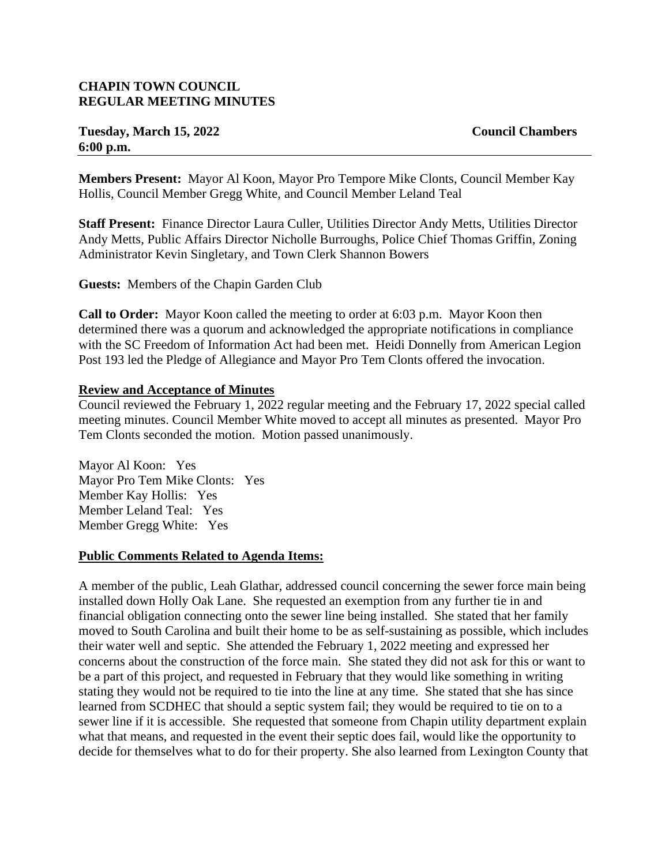# **CHAPIN TOWN COUNCIL REGULAR MEETING MINUTES**

# **Tuesday, March 15, 2022 Council Chambers 6:00 p.m.**

**Members Present:** Mayor Al Koon, Mayor Pro Tempore Mike Clonts, Council Member Kay Hollis, Council Member Gregg White, and Council Member Leland Teal

**Staff Present:** Finance Director Laura Culler, Utilities Director Andy Metts, Utilities Director Andy Metts, Public Affairs Director Nicholle Burroughs, Police Chief Thomas Griffin, Zoning Administrator Kevin Singletary, and Town Clerk Shannon Bowers

**Guests:** Members of the Chapin Garden Club

**Call to Order:** Mayor Koon called the meeting to order at 6:03 p.m. Mayor Koon then determined there was a quorum and acknowledged the appropriate notifications in compliance with the SC Freedom of Information Act had been met. Heidi Donnelly from American Legion Post 193 led the Pledge of Allegiance and Mayor Pro Tem Clonts offered the invocation.

#### **Review and Acceptance of Minutes**

Council reviewed the February 1, 2022 regular meeting and the February 17, 2022 special called meeting minutes. Council Member White moved to accept all minutes as presented. Mayor Pro Tem Clonts seconded the motion. Motion passed unanimously.

Mayor Al Koon: Yes Mayor Pro Tem Mike Clonts: Yes Member Kay Hollis: Yes Member Leland Teal: Yes Member Gregg White: Yes

#### **Public Comments Related to Agenda Items:**

A member of the public, Leah Glathar, addressed council concerning the sewer force main being installed down Holly Oak Lane. She requested an exemption from any further tie in and financial obligation connecting onto the sewer line being installed. She stated that her family moved to South Carolina and built their home to be as self-sustaining as possible, which includes their water well and septic. She attended the February 1, 2022 meeting and expressed her concerns about the construction of the force main. She stated they did not ask for this or want to be a part of this project, and requested in February that they would like something in writing stating they would not be required to tie into the line at any time. She stated that she has since learned from SCDHEC that should a septic system fail; they would be required to tie on to a sewer line if it is accessible. She requested that someone from Chapin utility department explain what that means, and requested in the event their septic does fail, would like the opportunity to decide for themselves what to do for their property. She also learned from Lexington County that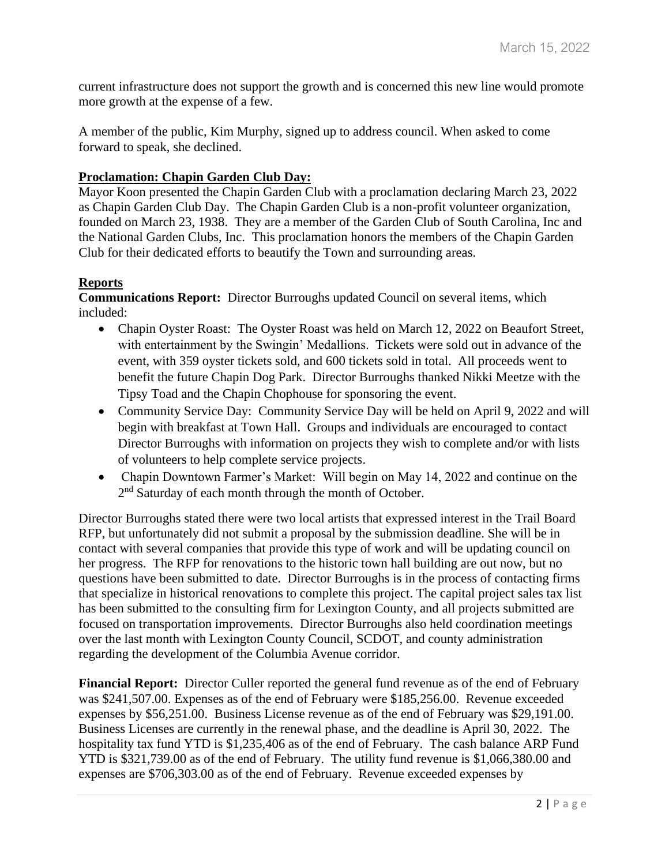current infrastructure does not support the growth and is concerned this new line would promote more growth at the expense of a few.

A member of the public, Kim Murphy, signed up to address council. When asked to come forward to speak, she declined.

## **Proclamation: Chapin Garden Club Day:**

Mayor Koon presented the Chapin Garden Club with a proclamation declaring March 23, 2022 as Chapin Garden Club Day. The Chapin Garden Club is a non-profit volunteer organization, founded on March 23, 1938. They are a member of the Garden Club of South Carolina, Inc and the National Garden Clubs, Inc. This proclamation honors the members of the Chapin Garden Club for their dedicated efforts to beautify the Town and surrounding areas.

# **Reports**

**Communications Report:** Director Burroughs updated Council on several items, which included:

- Chapin Oyster Roast: The Oyster Roast was held on March 12, 2022 on Beaufort Street, with entertainment by the Swingin' Medallions. Tickets were sold out in advance of the event, with 359 oyster tickets sold, and 600 tickets sold in total. All proceeds went to benefit the future Chapin Dog Park. Director Burroughs thanked Nikki Meetze with the Tipsy Toad and the Chapin Chophouse for sponsoring the event.
- Community Service Day: Community Service Day will be held on April 9, 2022 and will begin with breakfast at Town Hall. Groups and individuals are encouraged to contact Director Burroughs with information on projects they wish to complete and/or with lists of volunteers to help complete service projects.
- Chapin Downtown Farmer's Market: Will begin on May 14, 2022 and continue on the 2<sup>nd</sup> Saturday of each month through the month of October.

Director Burroughs stated there were two local artists that expressed interest in the Trail Board RFP, but unfortunately did not submit a proposal by the submission deadline. She will be in contact with several companies that provide this type of work and will be updating council on her progress. The RFP for renovations to the historic town hall building are out now, but no questions have been submitted to date. Director Burroughs is in the process of contacting firms that specialize in historical renovations to complete this project. The capital project sales tax list has been submitted to the consulting firm for Lexington County, and all projects submitted are focused on transportation improvements. Director Burroughs also held coordination meetings over the last month with Lexington County Council, SCDOT, and county administration regarding the development of the Columbia Avenue corridor.

**Financial Report:** Director Culler reported the general fund revenue as of the end of February was \$241,507.00. Expenses as of the end of February were \$185,256.00. Revenue exceeded expenses by \$56,251.00. Business License revenue as of the end of February was \$29,191.00. Business Licenses are currently in the renewal phase, and the deadline is April 30, 2022. The hospitality tax fund YTD is \$1,235,406 as of the end of February. The cash balance ARP Fund YTD is \$321,739.00 as of the end of February. The utility fund revenue is \$1,066,380.00 and expenses are \$706,303.00 as of the end of February. Revenue exceeded expenses by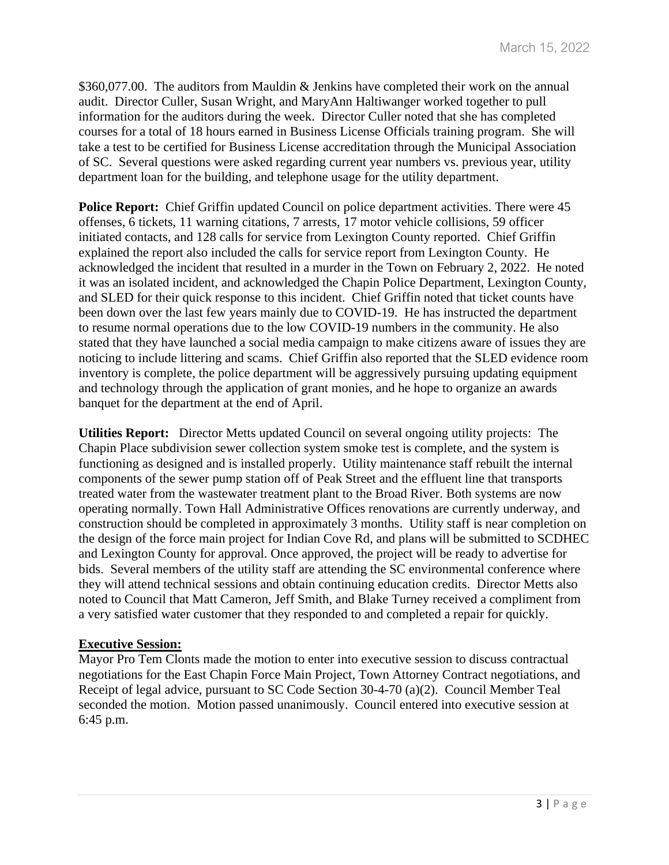\$360,077.00. The auditors from Mauldin & Jenkins have completed their work on the annual audit. Director Culler, Susan Wright, and MaryAnn Haltiwanger worked together to pull information for the auditors during the week. Director Culler noted that she has completed courses for a total of 18 hours earned in Business License Officials training program. She will take a test to be certified for Business License accreditation through the Municipal Association of SC. Several questions were asked regarding current year numbers vs. previous year, utility department loan for the building, and telephone usage for the utility department.

**Police Report:** Chief Griffin updated Council on police department activities. There were 45 offenses, 6 tickets, 11 warning citations, 7 arrests, 17 motor vehicle collisions, 59 officer initiated contacts, and 128 calls for service from Lexington County reported. Chief Griffin explained the report also included the calls for service report from Lexington County. He acknowledged the incident that resulted in a murder in the Town on February 2, 2022. He noted it was an isolated incident, and acknowledged the Chapin Police Department, Lexington County, and SLED for their quick response to this incident. Chief Griffin noted that ticket counts have been down over the last few years mainly due to COVID-19. He has instructed the department to resume normal operations due to the low COVID-19 numbers in the community. He also stated that they have launched a social media campaign to make citizens aware of issues they are noticing to include littering and scams. Chief Griffin also reported that the SLED evidence room inventory is complete, the police department will be aggressively pursuing updating equipment and technology through the application of grant monies, and he hope to organize an awards banquet for the department at the end of April.

**Utilities Report:** Director Metts updated Council on several ongoing utility projects: The Chapin Place subdivision sewer collection system smoke test is complete, and the system is functioning as designed and is installed properly. Utility maintenance staff rebuilt the internal components of the sewer pump station off of Peak Street and the effluent line that transports treated water from the wastewater treatment plant to the Broad River. Both systems are now operating normally. Town Hall Administrative Offices renovations are currently underway, and construction should be completed in approximately 3 months. Utility staff is near completion on the design of the force main project for Indian Cove Rd, and plans will be submitted to SCDHEC and Lexington County for approval. Once approved, the project will be ready to advertise for bids. Several members of the utility staff are attending the SC environmental conference where they will attend technical sessions and obtain continuing education credits. Director Metts also noted to Council that Matt Cameron, Jeff Smith, and Blake Turney received a compliment from a very satisfied water customer that they responded to and completed a repair for quickly.

#### **Executive Session:**

Mayor Pro Tem Clonts made the motion to enter into executive session to discuss contractual negotiations for the East Chapin Force Main Project, Town Attorney Contract negotiations, and Receipt of legal advice, pursuant to SC Code Section 30-4-70 (a)(2). Council Member Teal seconded the motion. Motion passed unanimously. Council entered into executive session at 6:45 p.m.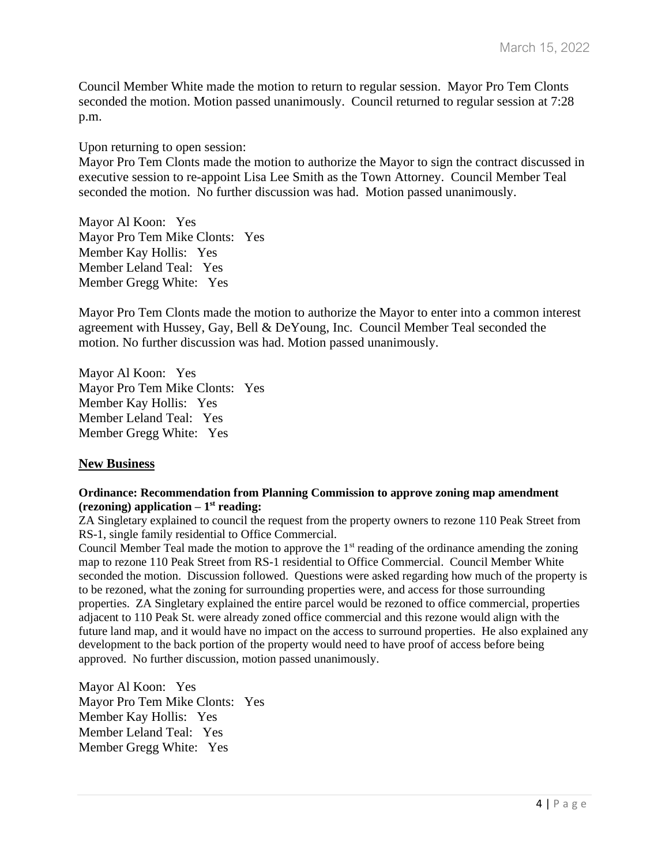Council Member White made the motion to return to regular session. Mayor Pro Tem Clonts seconded the motion. Motion passed unanimously. Council returned to regular session at 7:28 p.m.

Upon returning to open session:

Mayor Pro Tem Clonts made the motion to authorize the Mayor to sign the contract discussed in executive session to re-appoint Lisa Lee Smith as the Town Attorney. Council Member Teal seconded the motion. No further discussion was had. Motion passed unanimously.

Mayor Al Koon: Yes Mayor Pro Tem Mike Clonts: Yes Member Kay Hollis: Yes Member Leland Teal: Yes Member Gregg White: Yes

Mayor Pro Tem Clonts made the motion to authorize the Mayor to enter into a common interest agreement with Hussey, Gay, Bell & DeYoung, Inc. Council Member Teal seconded the motion. No further discussion was had. Motion passed unanimously.

Mayor Al Koon: Yes Mayor Pro Tem Mike Clonts: Yes Member Kay Hollis: Yes Member Leland Teal: Yes Member Gregg White: Yes

#### **New Business**

#### **Ordinance: Recommendation from Planning Commission to approve zoning map amendment (rezoning) application – 1 st reading:**

ZA Singletary explained to council the request from the property owners to rezone 110 Peak Street from RS-1, single family residential to Office Commercial.

Council Member Teal made the motion to approve the  $1<sup>st</sup>$  reading of the ordinance amending the zoning map to rezone 110 Peak Street from RS-1 residential to Office Commercial. Council Member White seconded the motion. Discussion followed. Questions were asked regarding how much of the property is to be rezoned, what the zoning for surrounding properties were, and access for those surrounding properties. ZA Singletary explained the entire parcel would be rezoned to office commercial, properties adjacent to 110 Peak St. were already zoned office commercial and this rezone would align with the future land map, and it would have no impact on the access to surround properties. He also explained any development to the back portion of the property would need to have proof of access before being approved. No further discussion, motion passed unanimously.

Mayor Al Koon: Yes Mayor Pro Tem Mike Clonts: Yes Member Kay Hollis: Yes Member Leland Teal: Yes Member Gregg White: Yes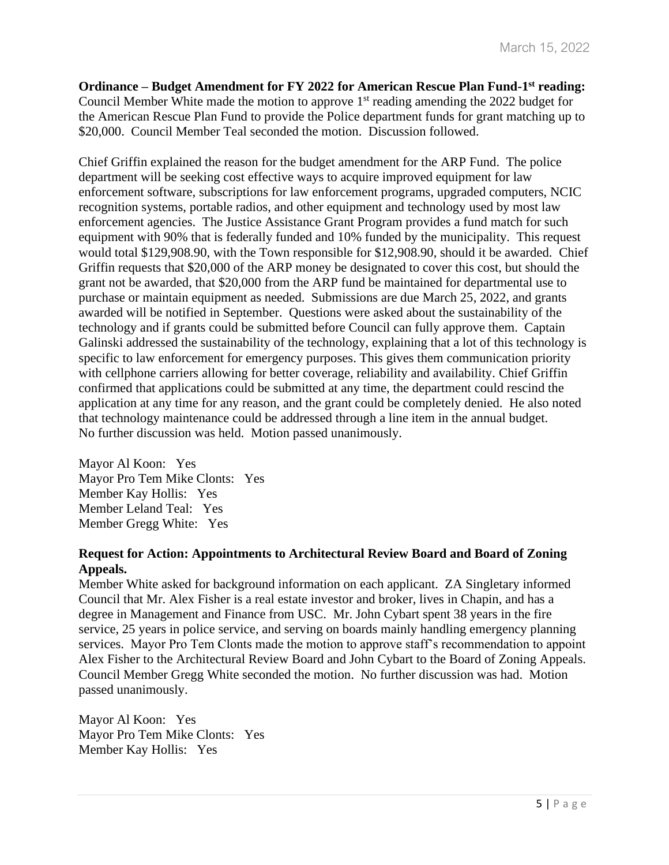**Ordinance – Budget Amendment for FY 2022 for American Rescue Plan Fund-1 st reading:**  Council Member White made the motion to approve  $1<sup>st</sup>$  reading amending the 2022 budget for the American Rescue Plan Fund to provide the Police department funds for grant matching up to \$20,000. Council Member Teal seconded the motion. Discussion followed.

Chief Griffin explained the reason for the budget amendment for the ARP Fund. The police department will be seeking cost effective ways to acquire improved equipment for law enforcement software, subscriptions for law enforcement programs, upgraded computers, NCIC recognition systems, portable radios, and other equipment and technology used by most law enforcement agencies. The Justice Assistance Grant Program provides a fund match for such equipment with 90% that is federally funded and 10% funded by the municipality. This request would total \$129,908.90, with the Town responsible for \$12,908.90, should it be awarded. Chief Griffin requests that \$20,000 of the ARP money be designated to cover this cost, but should the grant not be awarded, that \$20,000 from the ARP fund be maintained for departmental use to purchase or maintain equipment as needed. Submissions are due March 25, 2022, and grants awarded will be notified in September. Questions were asked about the sustainability of the technology and if grants could be submitted before Council can fully approve them. Captain Galinski addressed the sustainability of the technology, explaining that a lot of this technology is specific to law enforcement for emergency purposes. This gives them communication priority with cellphone carriers allowing for better coverage, reliability and availability. Chief Griffin confirmed that applications could be submitted at any time, the department could rescind the application at any time for any reason, and the grant could be completely denied. He also noted that technology maintenance could be addressed through a line item in the annual budget. No further discussion was held. Motion passed unanimously.

Mayor Al Koon: Yes Mayor Pro Tem Mike Clonts: Yes Member Kay Hollis: Yes Member Leland Teal: Yes Member Gregg White: Yes

# **Request for Action: Appointments to Architectural Review Board and Board of Zoning Appeals.**

Member White asked for background information on each applicant. ZA Singletary informed Council that Mr. Alex Fisher is a real estate investor and broker, lives in Chapin, and has a degree in Management and Finance from USC. Mr. John Cybart spent 38 years in the fire service, 25 years in police service, and serving on boards mainly handling emergency planning services. Mayor Pro Tem Clonts made the motion to approve staff's recommendation to appoint Alex Fisher to the Architectural Review Board and John Cybart to the Board of Zoning Appeals. Council Member Gregg White seconded the motion. No further discussion was had. Motion passed unanimously.

Mayor Al Koon: Yes Mayor Pro Tem Mike Clonts: Yes Member Kay Hollis: Yes